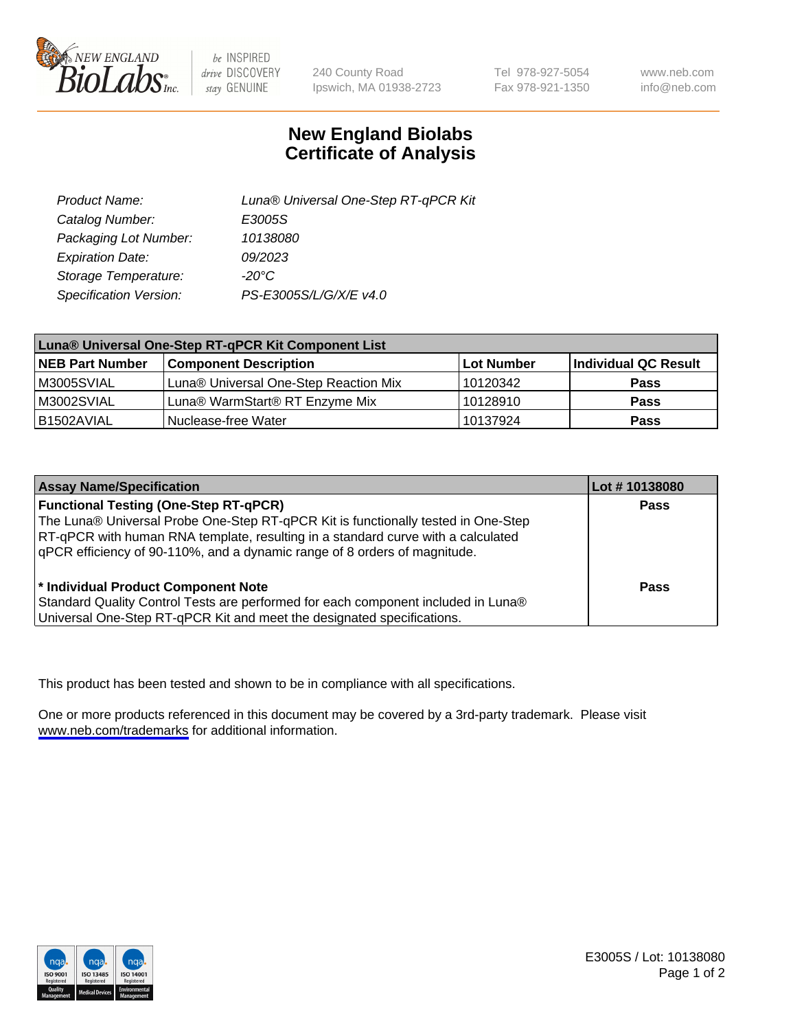

be INSPIRED drive DISCOVERY stay GENUINE

240 County Road Ipswich, MA 01938-2723 Tel 978-927-5054 Fax 978-921-1350

www.neb.com info@neb.com

## **New England Biolabs Certificate of Analysis**

| Product Name:           | Luna® Universal One-Step RT-qPCR Kit |
|-------------------------|--------------------------------------|
| Catalog Number:         | E3005S                               |
| Packaging Lot Number:   | 10138080                             |
| <b>Expiration Date:</b> | 09/2023                              |
| Storage Temperature:    | $-20^{\circ}$ C                      |
| Specification Version:  | PS-E3005S/L/G/X/E v4.0               |

| Luna® Universal One-Step RT-qPCR Kit Component List |                                       |            |                      |
|-----------------------------------------------------|---------------------------------------|------------|----------------------|
| <b>NEB Part Number</b>                              | <b>Component Description</b>          | Lot Number | Individual QC Result |
| M3005SVIAL                                          | Luna® Universal One-Step Reaction Mix | 10120342   | Pass                 |
| M3002SVIAL                                          | Luna® WarmStart® RT Enzyme Mix        | 10128910   | <b>Pass</b>          |
| B1502AVIAL                                          | Nuclease-free Water                   | 10137924   | <b>Pass</b>          |

| <b>Assay Name/Specification</b>                                                   | Lot # 10138080 |
|-----------------------------------------------------------------------------------|----------------|
| <b>Functional Testing (One-Step RT-qPCR)</b>                                      | <b>Pass</b>    |
| The Luna® Universal Probe One-Step RT-qPCR Kit is functionally tested in One-Step |                |
| RT-qPCR with human RNA template, resulting in a standard curve with a calculated  |                |
| qPCR efficiency of 90-110%, and a dynamic range of 8 orders of magnitude.         |                |
|                                                                                   |                |
| <sup>*</sup> Individual Product Component Note                                    | Pass           |
| Standard Quality Control Tests are performed for each component included in Luna® |                |
| Universal One-Step RT-qPCR Kit and meet the designated specifications.            |                |

This product has been tested and shown to be in compliance with all specifications.

One or more products referenced in this document may be covered by a 3rd-party trademark. Please visit <www.neb.com/trademarks>for additional information.